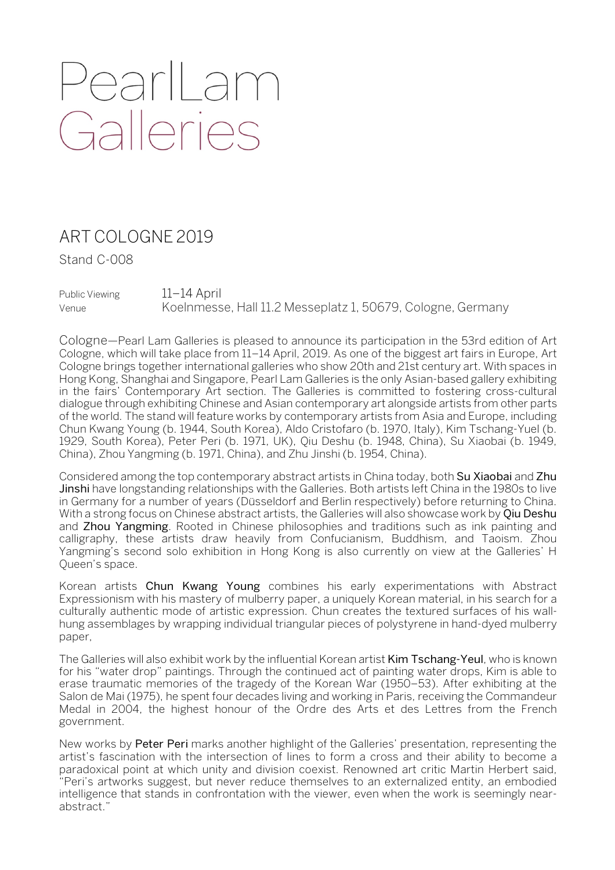## PearlLam<br>Galleries

## ART COLOGNE 2019

Stand C-008

Public Viewing 11–14 April Venue Koelnmesse, Hall 11.2 Messeplatz 1, 50679, Cologne, Germany

Cologne—Pearl Lam Galleries is pleased to announce its participation in the 53rd edition of Art Cologne, which will take place from 11–14 April, 2019. As one of the biggest art fairs in Europe, Art Cologne brings together international galleries who show 20th and 21st century art. With spaces in Hong Kong, Shanghai and Singapore, Pearl Lam Galleries is the only Asian-based gallery exhibiting in the fairs' Contemporary Art section. The Galleries is committed to fostering cross-cultural dialogue through exhibiting Chinese and Asian contemporary art alongside artists from other parts of the world. The stand will feature works by contemporary artists from Asia and Europe, including Chun Kwang Young (b. 1944, South Korea), Aldo Cristofaro (b. 1970, Italy), Kim Tschang-Yuel (b. 1929, South Korea), Peter Peri (b. 1971, UK), Qiu Deshu (b. 1948, China), Su Xiaobai (b. 1949, China), Zhou Yangming (b. 1971, China), and Zhu Jinshi (b. 1954, China).

Considered among the top contemporary abstract artists in China today, both Su Xiaobai and Zhu Jinshi have longstanding relationships with the Galleries. Both artists left China in the 1980s to live in Germany for a number of years (Düsseldorf and Berlin respectively) before returning to China. With a strong focus on Chinese abstract artists, the Galleries will also showcase work by Qiu Deshu and Zhou Yangming. Rooted in Chinese philosophies and traditions such as ink painting and calligraphy, these artists draw heavily from Confucianism, Buddhism, and Taoism. Zhou Yangming's second solo exhibition in Hong Kong is also currently on view at the Galleries' H Queen's space.

Korean artists Chun Kwang Young combines his early experimentations with Abstract Expressionism with his mastery of mulberry paper, a uniquely Korean material, in his search for a culturally authentic mode of artistic expression. Chun creates the textured surfaces of his wallhung assemblages by wrapping individual triangular pieces of polystyrene in hand-dyed mulberry paper,

The Galleries will also exhibit work by the influential Korean artist Kim Tschang-Yeul, who is known for his "water drop" paintings. Through the continued act of painting water drops, Kim is able to erase traumatic memories of the tragedy of the Korean War (1950–53). After exhibiting at the Salon de Mai (1975), he spent four decades living and working in Paris, receiving the Commandeur Medal in 2004, the highest honour of the Ordre des Arts et des Lettres from the French government.

New works by Peter Peri marks another highlight of the Galleries' presentation, representing the artist's fascination with the intersection of lines to form a cross and their ability to become a paradoxical point at which unity and division coexist. Renowned art critic Martin Herbert said, "Peri's artworks suggest, but never reduce themselves to an externalized entity, an embodied intelligence that stands in confrontation with the viewer, even when the work is seemingly nearabstract."